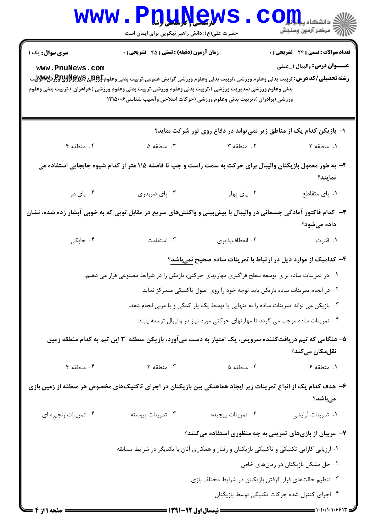|                                                                                                                  | www.P <u>nune</u> ws<br>حضرت علی(ع): دانش راهبر نیکویی برای ایمان است                                                                                                                                                                                                                                                         |                                                                                  | الله دانشکاه پیاه دار استفاه بار بار<br>الله عرکز آنههن وسنجش                |  |  |
|------------------------------------------------------------------------------------------------------------------|-------------------------------------------------------------------------------------------------------------------------------------------------------------------------------------------------------------------------------------------------------------------------------------------------------------------------------|----------------------------------------------------------------------------------|------------------------------------------------------------------------------|--|--|
| سری سوال: یک ۱<br>www.PnuNews.com                                                                                | زمان آزمون (دقیقه) : تستی : 45 آتشریحی : 0<br><b>رشته تحصیلی/کد درس:</b> تربیت بدنی وعلوم ورزشی.،تربیت بدنی وعلوم ورزشی گرایش عمومی،تربیت بدنی وعلوم\$ <del>PU&amp;\$&amp;&amp;</del> وPتل <sup>0</sup> ر%Wِ\يت<br>بدنی وعلوم ورزشی (مدیریت ورزشی )،تربیت بدنی وعلوم ورزشی،تربیت بدنی وعلوم ورزشی (خواهران )،تربیت بدنی وعلوم |                                                                                  | <b>تعداد سوالات : تستی : 24 - تشریحی : 0</b><br>عنـــوان درس: واليبال ١_عملي |  |  |
|                                                                                                                  | ورزشی (برادران )،تربیت بدنی وعلوم ورزشی (حرکات اصلاحی وآسیب شناسی۱۲۱۵۰۰۶                                                                                                                                                                                                                                                      |                                                                                  |                                                                              |  |  |
|                                                                                                                  |                                                                                                                                                                                                                                                                                                                               | ا– بازیکن کدام یک از مناطق زیر <u>نمی</u> تواند در دفاع روی تور شرکت نماید؟      |                                                                              |  |  |
| ۴. منطقه ۴                                                                                                       | $\Delta$ منطقه $\Gamma$                                                                                                                                                                                                                                                                                                       | ۰۲ منطقه ۳                                                                       | ١. منطقه ٢                                                                   |  |  |
|                                                                                                                  | ۲- به طور معمول بازیکنان والیبال برای حرکت به سمت راست و چپ تا فاصله ۱/۵ متر از کدام شیوه جابجایی استفاده می                                                                                                                                                                                                                  |                                                                                  | نمايند؟                                                                      |  |  |
| ۰۴ پای دو                                                                                                        | ۰۳ پای ضربدری                                                                                                                                                                                                                                                                                                                 | ۰۲ پای پهلو                                                                      | ٠١. پای متقاطع                                                               |  |  |
| ۳- کدام فاکتور آمادگی جسمانی در والیبال با پیش بینی و واکنشهای سریع در مقابل توپی که به خوبی آبشار زده شده، نشان |                                                                                                                                                                                                                                                                                                                               |                                                                                  | داده میشود؟                                                                  |  |  |
| ۰۴ چابکی                                                                                                         | ۰۳ استقامت                                                                                                                                                                                                                                                                                                                    | ٠٢ انعطافپذيري                                                                   | ۰۱ قدرت                                                                      |  |  |
|                                                                                                                  |                                                                                                                                                                                                                                                                                                                               | ۴- کدامیک از موارد ذیل در ارتباط با تمرینات ساده صحیح نمیباشد؟                   |                                                                              |  |  |
|                                                                                                                  | ۰۱ در تمرینات ساده برای توسعه سطح فراگیری مهارتهای حرکتی، بازیکن را در شرایط مصنوعی قرار می دهیم.                                                                                                                                                                                                                             |                                                                                  |                                                                              |  |  |
|                                                                                                                  | ۰۲ در انجام تمرینات ساده بازیکن باید توجه خود را روی اصول تاکتیکی متمرکز نماید.<br>۰۳ بازیکن می تواند تمرینات ساده را به تنهایی یا توسط یک یار کمکی و یا مربی انجام دهد.                                                                                                                                                      |                                                                                  |                                                                              |  |  |
|                                                                                                                  |                                                                                                                                                                                                                                                                                                                               |                                                                                  |                                                                              |  |  |
|                                                                                                                  |                                                                                                                                                                                                                                                                                                                               | ۰۴ تمرینات ساده موجب می گردد تا مهارتهای حرکتی مورد نیاز در والیبال توسعه یابند. |                                                                              |  |  |
|                                                                                                                  | ۵– هنگامی که تیم دریافتکننده سرویس، یک امتیاز به دست میآورد، بازیکن منطقه ۳ این تیم به کدام منطقه زمین                                                                                                                                                                                                                        |                                                                                  | نقلمكان مىكند؟                                                               |  |  |
| ۰۴ منطقه ۴                                                                                                       | $\mathsf{r}$ منطقه $\mathsf{r}$                                                                                                                                                                                                                                                                                               | ۰۲ منطقه ۵                                                                       | ۰۱ منطقه ۶                                                                   |  |  |
|                                                                                                                  | ۶– هدف کدام یک از انواع تمرینات زیر ایجاد هماهنگی بین بازیکنان در اجرای تاکتیکهای مخصوص هر منطقه از زمین بازی                                                                                                                                                                                                                 |                                                                                  | مىباشد؟                                                                      |  |  |
| ۰۴ تمرينات زنجيره اي                                                                                             | ۰۳ تمرينات پيوسته                                                                                                                                                                                                                                                                                                             | ۰۲ تمرينات پيچيده                                                                | ٠١ تمرينات أرايشي                                                            |  |  |
|                                                                                                                  | ۷- مربیان از بازیهای تمرینی به چه منظوری استفاده میکنند؟                                                                                                                                                                                                                                                                      |                                                                                  |                                                                              |  |  |
|                                                                                                                  | ۰۱ ارزیابی کارایی تکنیکی و تاکتیکی بازیکنان و رفتار و همکاری آنان با یکدیگر در شرایط مسابقه                                                                                                                                                                                                                                   |                                                                                  |                                                                              |  |  |
|                                                                                                                  |                                                                                                                                                                                                                                                                                                                               |                                                                                  | ۰۲ حل مشکل بازیکنان در زمانهای خاص                                           |  |  |
|                                                                                                                  | ۰۳ تنظیم حالتهای قرار گرفتن بازیکنان در شرایط مختلف بازی                                                                                                                                                                                                                                                                      |                                                                                  |                                                                              |  |  |
|                                                                                                                  |                                                                                                                                                                                                                                                                                                                               |                                                                                  | ۰۴ اجرای کنترل شده حرکات تکنیکی توسط بازیکنان                                |  |  |
| = صفحه ۱ از ۴                                                                                                    | = نیمسال اول 92-1391 =                                                                                                                                                                                                                                                                                                        |                                                                                  |                                                                              |  |  |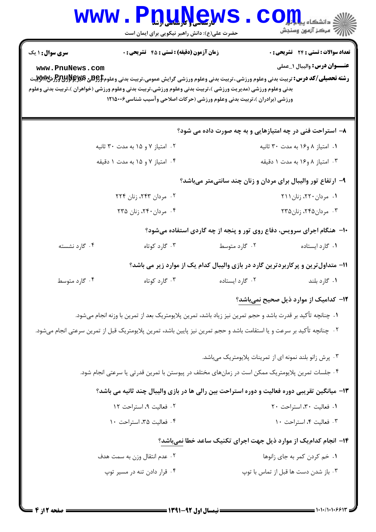|                                                                                                                                                                                                                                                                                      | <b>www.Pnunews</b><br>حضرت علی(ع): دانش راهبر نیکویی برای ایمان است                                                                                                                                                                   |                                                                                                                                       | رآ مرکز آزمون وسنجش                                                               |  |
|--------------------------------------------------------------------------------------------------------------------------------------------------------------------------------------------------------------------------------------------------------------------------------------|---------------------------------------------------------------------------------------------------------------------------------------------------------------------------------------------------------------------------------------|---------------------------------------------------------------------------------------------------------------------------------------|-----------------------------------------------------------------------------------|--|
| <b>سری سوال : ۱ یک</b><br>www.PnuNews.com<br><b>رشته تحصیلی/کد درس:</b> تربیت بدنی وعلوم ورزشی.،تربیت بدنی وعلوم ورزشی گرایش عمومی،تربیت بدنی وعلوم\$BRU3 و PRU3HHH.تا<br>بدنی وعلوم ورزشی (مدیریت ورزشی )،تربیت بدنی وعلوم ورزشی،تربیت بدنی وعلوم ورزشی (خواهران )،تربیت بدنی وعلوم | زمان آزمون (دقیقه) : تستی : 45 آتشریحی : 0                                                                                                                                                                                            |                                                                                                                                       | <b>تعداد سوالات : تستی : 24 گشریحی : 0</b><br><b>عنـــوان درس:</b> واليبال ١_عملي |  |
|                                                                                                                                                                                                                                                                                      | ورزشی (برادران )،تربیت بدنی وعلوم ورزشی (حرکات اصلاحی وآسیب شناسی۱۲۱۵۰۰۶                                                                                                                                                              | ۸– استراحت فنی در چه امتیازهایی و به چه صورت داده می شود؟                                                                             |                                                                                   |  |
| ۰۲ امتیاز ۷ و ۱۵ به مدت ۳۰ ثانیه                                                                                                                                                                                                                                                     |                                                                                                                                                                                                                                       |                                                                                                                                       | ۰۱ امتياز ۸ و۱۶ به مدت ۳۰ ثانيه                                                   |  |
| ۰۴ امتیاز ۷ و ۱۵ به مدت ۱ دقیقه                                                                                                                                                                                                                                                      |                                                                                                                                                                                                                                       | ۰۳ امتياز ۸ و ۱۶ به مدت ۱ دقيقه                                                                                                       |                                                                                   |  |
|                                                                                                                                                                                                                                                                                      | ۲. مردان ۲۴۳، زنان ۲۲۴<br>۰۴ مردان ۲۴۰، زنان ۲۳۵                                                                                                                                                                                      | ۹- ارتفاع تور والیبال برای مردان و زنان چند سانتیمتر میباشد؟<br>۱۰− هنگام اجرای سرویس، دفاع روی تور و پنجه از چه گاردی استفاده میشود؟ | ۰۱ مردان ۲۲۰، زنان ۲۱۱<br>۰۳ مردان۲۴۵، زنان۲۳۵                                    |  |
| ۰۴ گارد نشسته                                                                                                                                                                                                                                                                        | ۰۳ گارد کوتاه                                                                                                                                                                                                                         | ۰۲ گارد متوسط                                                                                                                         | ٠١ گارد ايستاده                                                                   |  |
| ۰۴ گارد متوسط                                                                                                                                                                                                                                                                        | ۰۳ گارد کوتاه                                                                                                                                                                                                                         | 1۱– متداول ترین و پرکاربردترین گارد در بازی والیبال کدام یک از موارد زیر می باشد؟<br>۰۲ گارد ایستاده                                  | ۰۱ گارد بلند                                                                      |  |
|                                                                                                                                                                                                                                                                                      | ٠١ چنانچه تأكيد بر قدرت باشد و حجم تمرين نيز زياد باشد، تمرين پلايومتريک بعد از تمرين با وزنه انجام ميشود.<br>٢٠- چنانچه تأكيد بر سرعت و يا استقامت باشد و حجم تمرين نيز پايين باشد، تمرين پلايومتريک قبل از تمرين سرعتي انجام ميشود. |                                                                                                                                       | ۱۲– کدامیک از موارد ذیل صحیح نم <u>یب</u> اشد؟                                    |  |
|                                                                                                                                                                                                                                                                                      | ۰۴ جلسات تمرین پلایومتریک ممکن است در زمانهای مختلف در پیوستن با تمرین قدرتی یا سرعتی انجام شود.<br>۱۳- میانگین تقریبی دوره فعالیت و دوره استراحت بین رالی ها در بازی والیبال چند ثانیه می باشد؟<br>۰۲ فعالیت ۹، استراحت ۱۲           | ۰۳ پرش زانو بلند نمونه ای از تمرینات پلایومتریک میباشد.                                                                               | ٠١. فعاليت ٣٠، استراحت ٢٠                                                         |  |
|                                                                                                                                                                                                                                                                                      | ۰۴ فعالیت ۳۵، استراحت ۱۰                                                                                                                                                                                                              |                                                                                                                                       | ۰۳ فعالیت ۴، استراحت ۱۰                                                           |  |
|                                                                                                                                                                                                                                                                                      |                                                                                                                                                                                                                                       | ۱۴- انجام کدام یک از موارد ذیل جهت اجرای تکنیک ساعد خطا نمیباشد؟                                                                      |                                                                                   |  |
|                                                                                                                                                                                                                                                                                      | ۰۲ عدم انتقال وزن به سمت هدف                                                                                                                                                                                                          |                                                                                                                                       | ٠١ خم كردن كمر به جاي زانوها                                                      |  |
|                                                                                                                                                                                                                                                                                      | ۰۴ قرار دادن تنه در مسیر توپ                                                                                                                                                                                                          |                                                                                                                                       | ۰۳ باز شدن دست ها قبل از تماس با توپ                                              |  |
|                                                                                                                                                                                                                                                                                      |                                                                                                                                                                                                                                       |                                                                                                                                       |                                                                                   |  |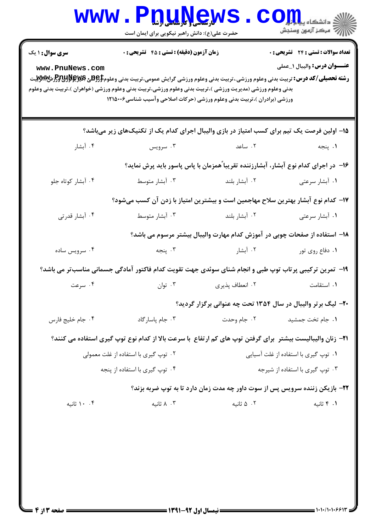| <b>سری سوال : ۱ یک</b>               | زمان آزمون (دقیقه) : تستی : 45 آتشریحی : 0                                                                                                                                                                                                                                                                                               |                                                                                    | <b>تعداد سوالات : تستی : 24 - تشریحی : 0</b> |  |
|--------------------------------------|------------------------------------------------------------------------------------------------------------------------------------------------------------------------------------------------------------------------------------------------------------------------------------------------------------------------------------------|------------------------------------------------------------------------------------|----------------------------------------------|--|
| www.PnuNews.com                      | <b>رشته تحصیلی/کد درس:</b> تربیت بدنی وعلوم ورزشی.،تربیت بدنی وعلوم ورزشی گرایش عمومی،تربیت بدنی وعلوم <del>\$PU3 و</del> پهلاچ <b>ولان</b> تر<br>بدنی وعلوم ورزشی (مدیریت ورزشی )،تربیت بدنی وعلوم ورزشی،تربیت بدنی وعلوم ورزشی (خواهران )،تربیت بدنی وعلوم<br>ورزشی (برادران )،تربیت بدنی وعلوم ورزشی (حرکات اصلاحی وآسیب شناسی۱۲۱۵۰۰۶ |                                                                                    | <b>عنـــوان درس:</b> واليبال ١_عملي          |  |
|                                      | ۱۵– اولین فرصت یک تیم برای کسب امتیاز در بازی والیبال اجرای کدام یک از تکنیکهای زیر میباشد؟                                                                                                                                                                                                                                              |                                                                                    |                                              |  |
| ۰۴ آبشار                             | ۰۳ سرویس                                                                                                                                                                                                                                                                                                                                 | ۲. ساعد                                                                            | ۰۱ پنجه                                      |  |
|                                      |                                                                                                                                                                                                                                                                                                                                          | ۱۶– در اجرای کدام نوع آبشار، آبشارزننده تقریباًهمزمان با پاس پاسور باید پرش نماید؟ |                                              |  |
| ۰۴ آبشار کوتاه جلو                   | ۰۳ آبشار متوسط                                                                                                                                                                                                                                                                                                                           | ۰۲ آبشار بلند                                                                      | ۰۱ آبشار سرعتی                               |  |
|                                      | ۱۷– کدام نوع آبشار بهترین سلاح مهاجمین است و بیشترین امتیاز با زدن آن کسب میشود؟                                                                                                                                                                                                                                                         |                                                                                    |                                              |  |
| ۰۴ آبشار قدرتی                       | ۰۳ آبشار متوسط                                                                                                                                                                                                                                                                                                                           | ۰۲ آبشار بلند                                                                      | ۰۱ آبشار سرعتی                               |  |
|                                      |                                                                                                                                                                                                                                                                                                                                          | ۱۸– استفاده از صفحات چوبی در آموزش کدام مهارت والیبال بیشتر مرسوم می باشد؟         |                                              |  |
| ۰۴ سرویس ساده                        |                                                                                                                                                                                                                                                                                                                                          | ۰۲ آبشار هستان استان بنجه                                                          | ۰۱ دفاع روی تور                              |  |
|                                      | ۱۹- تمرین ترکیبی پرتاب توپ طبی و انجام شنای سوئدی جهت تقویت کدام فاکتور آمادگی جسمانی مناسبتر می باشد؟                                                                                                                                                                                                                                   |                                                                                    |                                              |  |
| ۰۴ سرعت                              | ۰۳ توان                                                                                                                                                                                                                                                                                                                                  | ۰۲ انعطاف پذیری                                                                    | ۰۱ استقامت                                   |  |
|                                      |                                                                                                                                                                                                                                                                                                                                          | ۲۰- لیگ برتر والیبال در سال ۱۳۵۴ تحت چه عنوانی برگزار گردید؟                       |                                              |  |
| ۰۴ جام خليج فارس                     | ۰۳ جام پاسار گاد                                                                                                                                                                                                                                                                                                                         | ۰۲ جام وحدت                                                                        | ٠١. جام تخت جمشيد                            |  |
|                                      | <b>۲۱</b> – زنان والیبالیست بیشتر  برای گرفتن توپ های کم ارتفاع  با سرعت بالا از کدام نوع توپ گیری استفاده می کنند؟                                                                                                                                                                                                                      |                                                                                    |                                              |  |
| ۰۲ توپ گیری با استفاده از غلت معمولی |                                                                                                                                                                                                                                                                                                                                          |                                                                                    | ۰۱ توپ گیری با استفاده از غلت آسیایی         |  |
|                                      | ۰۴ توپ گیری با استفاده از پنجه                                                                                                                                                                                                                                                                                                           |                                                                                    | ۰۳ توپ گیری با استفاده از شیرجه              |  |
|                                      |                                                                                                                                                                                                                                                                                                                                          | ۲۲- بازیکن زننده سرویس پس از سوت داور چه مدت زمان دارد تا به توپ ضربه بزند؟        |                                              |  |
| ۰. ۱۰ ثانیه                          | ۸ ۰۳ ثانیه                                                                                                                                                                                                                                                                                                                               | ۰۲ ۵ ثانیه                                                                         | ۰۱ ۴ ثانیه                                   |  |
|                                      |                                                                                                                                                                                                                                                                                                                                          |                                                                                    |                                              |  |
|                                      |                                                                                                                                                                                                                                                                                                                                          |                                                                                    |                                              |  |
|                                      |                                                                                                                                                                                                                                                                                                                                          |                                                                                    |                                              |  |